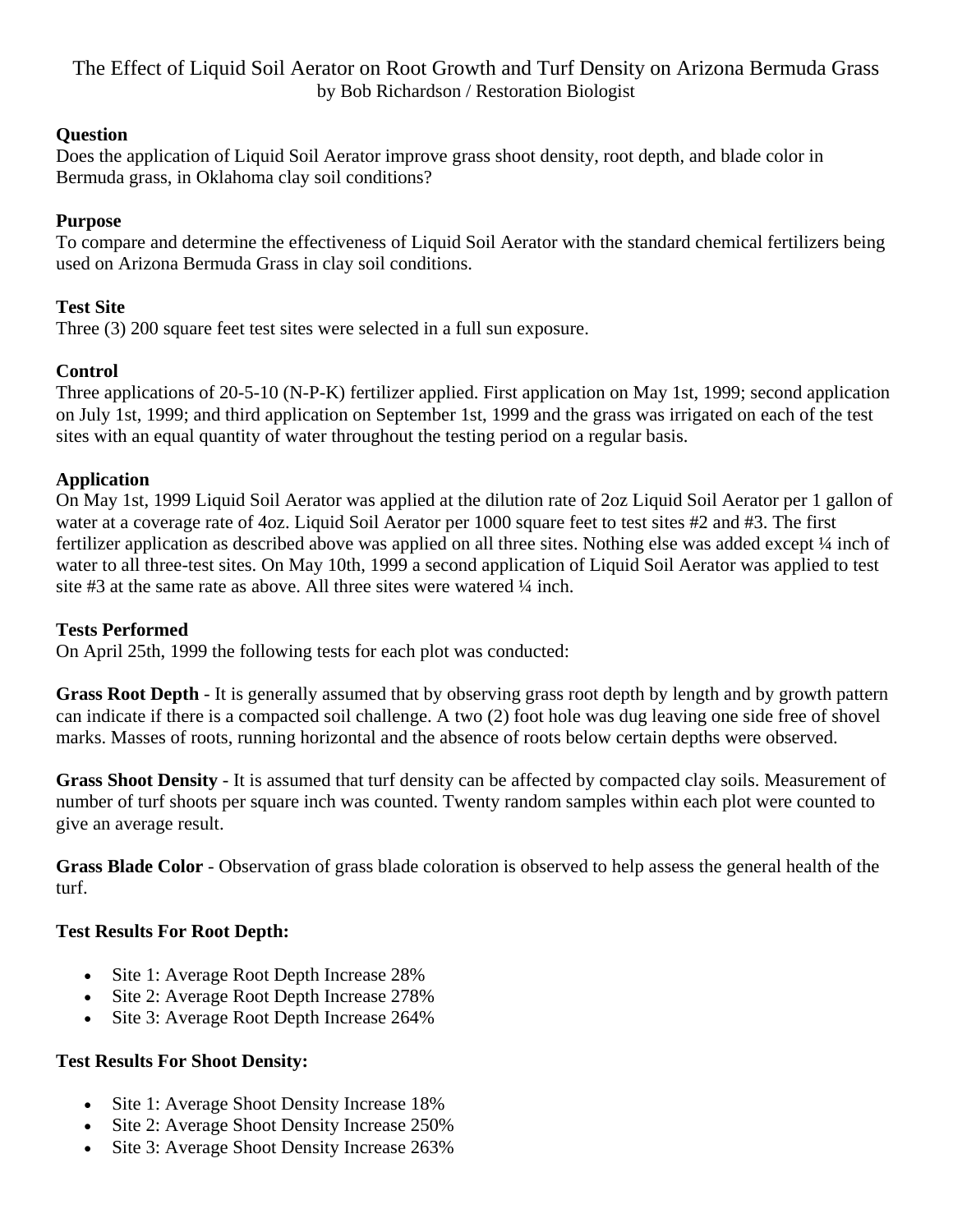The Effect of Liquid Soil Aerator on Root Growth and Turf Density on Arizona Bermuda Grass by Bob Richardson / Restoration Biologist

#### **Question**

Does the application of Liquid Soil Aerator improve grass shoot density, root depth, and blade color in Bermuda grass, in Oklahoma clay soil conditions?

### **Purpose**

To compare and determine the effectiveness of Liquid Soil Aerator with the standard chemical fertilizers being used on Arizona Bermuda Grass in clay soil conditions.

### **Test Site**

Three (3) 200 square feet test sites were selected in a full sun exposure.

# **Control**

Three applications of 20-5-10 (N-P-K) fertilizer applied. First application on May 1st, 1999; second application on July 1st, 1999; and third application on September 1st, 1999 and the grass was irrigated on each of the test sites with an equal quantity of water throughout the testing period on a regular basis.

# **Application**

On May 1st, 1999 Liquid Soil Aerator was applied at the dilution rate of 2oz Liquid Soil Aerator per 1 gallon of water at a coverage rate of 4oz. Liquid Soil Aerator per 1000 square feet to test sites #2 and #3. The first fertilizer application as described above was applied on all three sites. Nothing else was added except ¼ inch of water to all three-test sites. On May 10th, 1999 a second application of Liquid Soil Aerator was applied to test site #3 at the same rate as above. All three sites were watered ¼ inch.

### **Tests Performed**

On April 25th, 1999 the following tests for each plot was conducted:

**Grass Root Depth** - It is generally assumed that by observing grass root depth by length and by growth pattern can indicate if there is a compacted soil challenge. A two (2) foot hole was dug leaving one side free of shovel marks. Masses of roots, running horizontal and the absence of roots below certain depths were observed.

**Grass Shoot Density** - It is assumed that turf density can be affected by compacted clay soils. Measurement of number of turf shoots per square inch was counted. Twenty random samples within each plot were counted to give an average result.

**Grass Blade Color** - Observation of grass blade coloration is observed to help assess the general health of the turf.

### **Test Results For Root Depth:**

- Site 1: Average Root Depth Increase 28%
- Site 2: Average Root Depth Increase 278%
- Site 3: Average Root Depth Increase 264%

### **Test Results For Shoot Density:**

- Site 1: Average Shoot Density Increase 18%
- Site 2: Average Shoot Density Increase 250%
- Site 3: Average Shoot Density Increase 263%